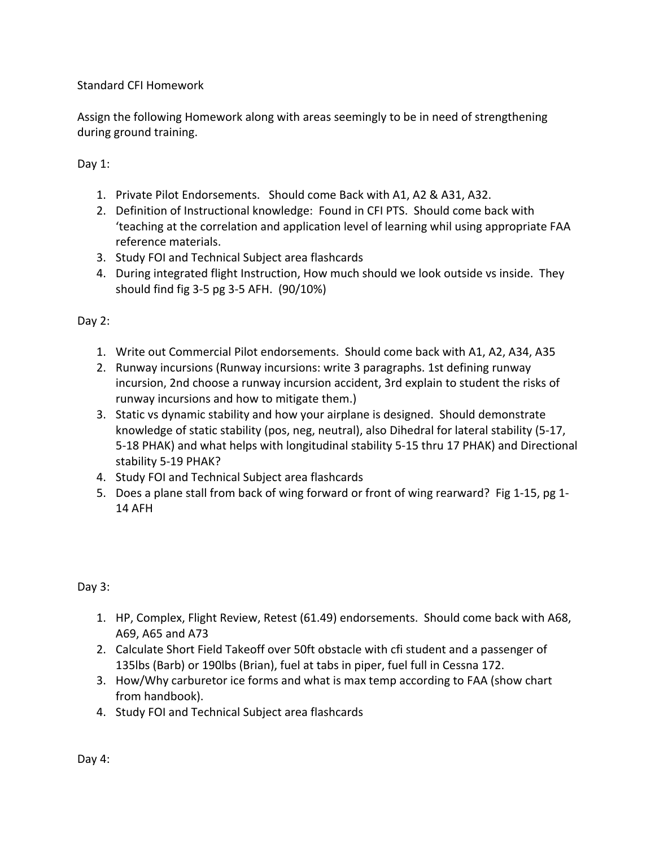Standard CFI Homework

Assign the following Homework along with areas seemingly to be in need of strengthening during ground training.

Day 1:

- 1. Private Pilot Endorsements. Should come Back with A1, A2 & A31, A32.
- 2. Definition of Instructional knowledge: Found in CFI PTS. Should come back with 'teaching at the correlation and application level of learning whil using appropriate FAA reference materials.
- 3. Study FOI and Technical Subject area flashcards
- 4. During integrated flight Instruction, How much should we look outside vs inside. They should find fig 3-5 pg 3-5 AFH. (90/10%)

Day 2:

- 1. Write out Commercial Pilot endorsements. Should come back with A1, A2, A34, A35
- 2. Runway incursions (Runway incursions: write 3 paragraphs. 1st defining runway incursion, 2nd choose a runway incursion accident, 3rd explain to student the risks of runway incursions and how to mitigate them.)
- 3. Static vs dynamic stability and how your airplane is designed. Should demonstrate knowledge of static stability (pos, neg, neutral), also Dihedral for lateral stability (5-17, 5-18 PHAK) and what helps with longitudinal stability 5-15 thru 17 PHAK) and Directional stability 5-19 PHAK?
- 4. Study FOI and Technical Subject area flashcards
- 5. Does a plane stall from back of wing forward or front of wing rearward? Fig 1-15, pg 1- 14 AFH

Day 3:

- 1. HP, Complex, Flight Review, Retest (61.49) endorsements. Should come back with A68, A69, A65 and A73
- 2. Calculate Short Field Takeoff over 50ft obstacle with cfi student and a passenger of 135lbs (Barb) or 190lbs (Brian), fuel at tabs in piper, fuel full in Cessna 172.
- 3. How/Why carburetor ice forms and what is max temp according to FAA (show chart from handbook).
- 4. Study FOI and Technical Subject area flashcards

Day 4: